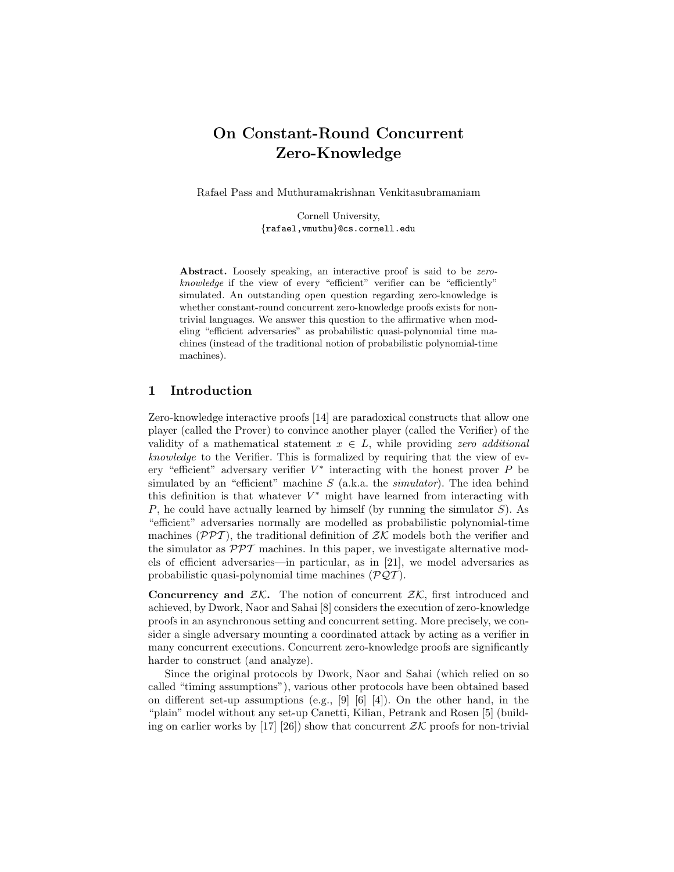# On Constant-Round Concurrent Zero-Knowledge

Rafael Pass and Muthuramakrishnan Venkitasubramaniam

Cornell University, {rafael,vmuthu}@cs.cornell.edu

Abstract. Loosely speaking, an interactive proof is said to be zeroknowledge if the view of every "efficient" verifier can be "efficiently" simulated. An outstanding open question regarding zero-knowledge is whether constant-round concurrent zero-knowledge proofs exists for nontrivial languages. We answer this question to the affirmative when modeling "efficient adversaries" as probabilistic quasi-polynomial time machines (instead of the traditional notion of probabilistic polynomial-time machines).

# 1 Introduction

Zero-knowledge interactive proofs [14] are paradoxical constructs that allow one player (called the Prover) to convince another player (called the Verifier) of the validity of a mathematical statement  $x \in L$ , while providing zero additional knowledge to the Verifier. This is formalized by requiring that the view of every "efficient" adversary verifier  $V^*$  interacting with the honest prover  $P$  be simulated by an "efficient" machine  $S$  (a.k.a. the *simulator*). The idea behind this definition is that whatever  $V^*$  might have learned from interacting with  $P$ , he could have actually learned by himself (by running the simulator  $S$ ). As "efficient" adversaries normally are modelled as probabilistic polynomial-time machines ( $\mathcal{PPT}$ ), the traditional definition of  $\mathcal{ZK}$  models both the verifier and the simulator as  $\mathcal{PPT}$  machines. In this paper, we investigate alternative models of efficient adversaries—in particular, as in [21], we model adversaries as probabilistic quasi-polynomial time machines  $(\mathcal{PQT})$ .

**Concurrency and**  $ZK$ **.** The notion of concurrent  $ZK$ , first introduced and achieved, by Dwork, Naor and Sahai [8] considers the execution of zero-knowledge proofs in an asynchronous setting and concurrent setting. More precisely, we consider a single adversary mounting a coordinated attack by acting as a verifier in many concurrent executions. Concurrent zero-knowledge proofs are significantly harder to construct (and analyze).

Since the original protocols by Dwork, Naor and Sahai (which relied on so called "timing assumptions"), various other protocols have been obtained based on different set-up assumptions (e.g.,  $[9]$   $[6]$   $[4]$ ). On the other hand, in the "plain" model without any set-up Canetti, Kilian, Petrank and Rosen [5] (building on earlier works by [17] [26]) show that concurrent  $\mathcal{ZK}$  proofs for non-trivial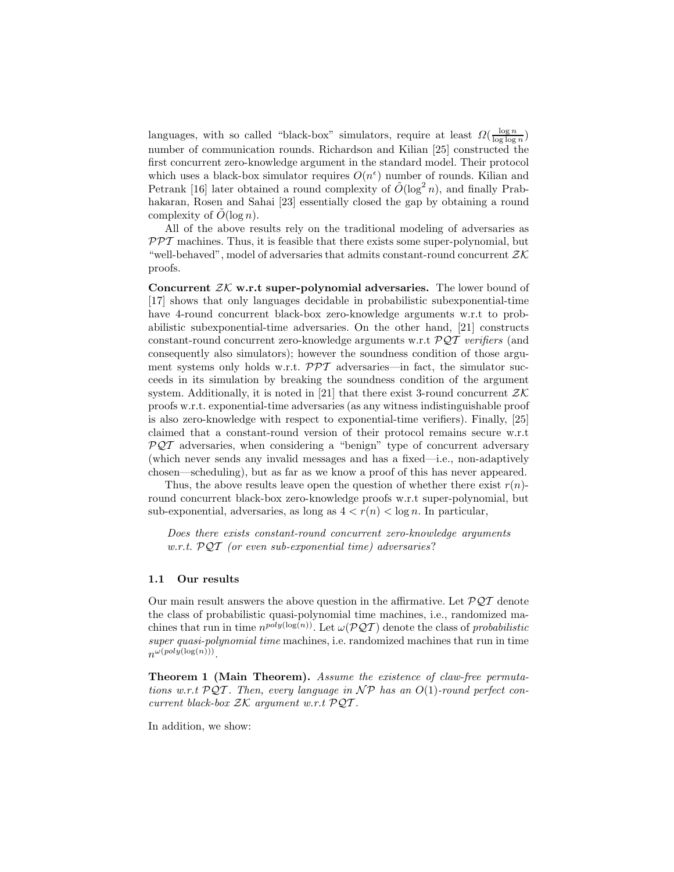languages, with so called "black-box" simulators, require at least  $\Omega(\frac{\log n}{\log \log n})$ number of communication rounds. Richardson and Kilian [25] constructed the first concurrent zero-knowledge argument in the standard model. Their protocol which uses a black-box simulator requires  $O(n^{\epsilon})$  number of rounds. Kilian and Petrank [16] later obtained a round complexity of  $\tilde{O}(\log^2 n)$ , and finally Prabhakaran, Rosen and Sahai [23] essentially closed the gap by obtaining a round complexity of  $\tilde{O}(\log n)$ .

All of the above results rely on the traditional modeling of adversaries as  $PPT$  machines. Thus, it is feasible that there exists some super-polynomial, but "well-behaved", model of adversaries that admits constant-round concurrent  $\mathcal{ZK}$ proofs.

Concurrent  $ZK$  w.r.t super-polynomial adversaries. The lower bound of [17] shows that only languages decidable in probabilistic subexponential-time have 4-round concurrent black-box zero-knowledge arguments w.r.t to probabilistic subexponential-time adversaries. On the other hand, [21] constructs constant-round concurrent zero-knowledge arguments w.r.t  $\mathcal{PQT}$  verifiers (and consequently also simulators); however the soundness condition of those argument systems only holds w.r.t.  $\mathcal{PPT}$  adversaries—in fact, the simulator succeeds in its simulation by breaking the soundness condition of the argument system. Additionally, it is noted in [21] that there exist 3-round concurrent  $\mathcal{ZK}$ proofs w.r.t. exponential-time adversaries (as any witness indistinguishable proof is also zero-knowledge with respect to exponential-time verifiers). Finally, [25] claimed that a constant-round version of their protocol remains secure w.r.t  $PQT$  adversaries, when considering a "benign" type of concurrent adversary (which never sends any invalid messages and has a fixed—i.e., non-adaptively chosen—scheduling), but as far as we know a proof of this has never appeared.

Thus, the above results leave open the question of whether there exist  $r(n)$ round concurrent black-box zero-knowledge proofs w.r.t super-polynomial, but sub-exponential, adversaries, as long as  $4 < r(n) < \log n$ . In particular,

Does there exists constant-round concurrent zero-knowledge arguments w.r.t.  $\mathcal{PQT}$  (or even sub-exponential time) adversaries?

# 1.1 Our results

Our main result answers the above question in the affirmative. Let  $\mathcal{PQT}$  denote the class of probabilistic quasi-polynomial time machines, i.e., randomized machines that run in time  $n^{poly(log(n))}$ . Let  $\omega(\mathcal{PQT})$  denote the class of probabilistic super quasi-polynomial time machines, i.e. randomized machines that run in time  $n^{\omega(poly(\log(n)))}$ .

Theorem 1 (Main Theorem). Assume the existence of claw-free permutations w.r.t  $PQT$ . Then, every language in  $\mathcal{NP}$  has an  $O(1)$ -round perfect concurrent black-box  $ZK$  argument w.r.t  $\mathcal{PQT}$ .

In addition, we show: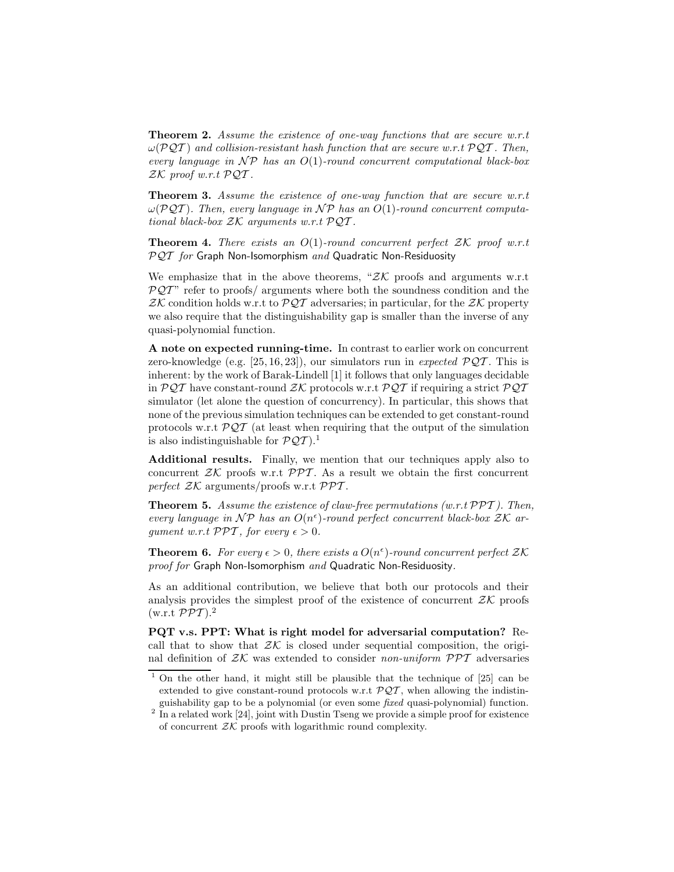Theorem 2. Assume the existence of one-way functions that are secure w.r.t  $\omega(PQT)$  and collision-resistant hash function that are secure w.r.t  $PQT$ . Then, every language in  $\mathcal{NP}$  has an  $O(1)$ -round concurrent computational black-box  $ZK$  proof w.r.t  $\mathcal{PQT}$ .

Theorem 3. Assume the existence of one-way function that are secure w.r.t  $\omega(PQT)$ . Then, every language in NP has an  $O(1)$ -round concurrent computational black-box  $ZK$  arguments w.r.t  $\mathcal{PQT}$ .

**Theorem 4.** There exists an  $O(1)$ -round concurrent perfect  $ZK$  proof w.r.t  $PQT$  for Graph Non-Isomorphism and Quadratic Non-Residuosity

We emphasize that in the above theorems, " $ZK$  proofs and arguments w.r.t  $\mathcal{PQT}$ " refer to proofs/ arguments where both the soundness condition and the  $ZK$  condition holds w.r.t to  $\mathcal{PQT}$  adversaries; in particular, for the  $ZK$  property we also require that the distinguishability gap is smaller than the inverse of any quasi-polynomial function.

A note on expected running-time. In contrast to earlier work on concurrent zero-knowledge (e.g. [25, 16, 23]), our simulators run in expected  $\mathcal{PQT}$ . This is inherent: by the work of Barak-Lindell [1] it follows that only languages decidable in  $\mathcal{PQT}$  have constant-round  $\mathcal{ZK}$  protocols w.r.t  $\mathcal{PQT}$  if requiring a strict  $\mathcal{PQT}$ simulator (let alone the question of concurrency). In particular, this shows that none of the previous simulation techniques can be extended to get constant-round protocols w.r.t  $\mathcal{PQT}$  (at least when requiring that the output of the simulation is also indistinguishable for  $\mathcal{PQT}$ ).<sup>1</sup>

Additional results. Finally, we mention that our techniques apply also to concurrent  $ZK$  proofs w.r.t  $PPT$ . As a result we obtain the first concurrent perfect  $ZK$  arguments/proofs w.r.t  $PPT$ .

**Theorem 5.** Assume the existence of claw-free permutations (w.r.t  $\mathcal{PPT}$ ). Then, every language in  $\mathcal{NP}$  has an  $O(n^{\epsilon})$ -round perfect concurrent black-box  $\mathcal{ZK}$  arqument w.r.t  $PPT$ , for every  $\epsilon > 0$ .

**Theorem 6.** For every  $\epsilon > 0$ , there exists a  $O(n^{\epsilon})$ -round concurrent perfect  $\mathcal{ZK}$ proof for Graph Non-Isomorphism and Quadratic Non-Residuosity.

As an additional contribution, we believe that both our protocols and their analysis provides the simplest proof of the existence of concurrent  $\mathcal{Z}\mathcal{K}$  proofs (w.r.t  $\mathcal{PPT}$ ).<sup>2</sup>

PQT v.s. PPT: What is right model for adversarial computation? Recall that to show that  $\mathcal{ZK}$  is closed under sequential composition, the original definition of  $ZK$  was extended to consider non-uniform  $\mathcal{PPT}$  adversaries

<sup>&</sup>lt;sup>1</sup> On the other hand, it might still be plausible that the technique of  $[25]$  can be extended to give constant-round protocols w.r.t  $\mathcal{PQT}$ , when allowing the indistinguishability gap to be a polynomial (or even some fixed quasi-polynomial) function.

<sup>&</sup>lt;sup>2</sup> In a related work [24], joint with Dustin Tseng we provide a simple proof for existence of concurrent  $ZK$  proofs with logarithmic round complexity.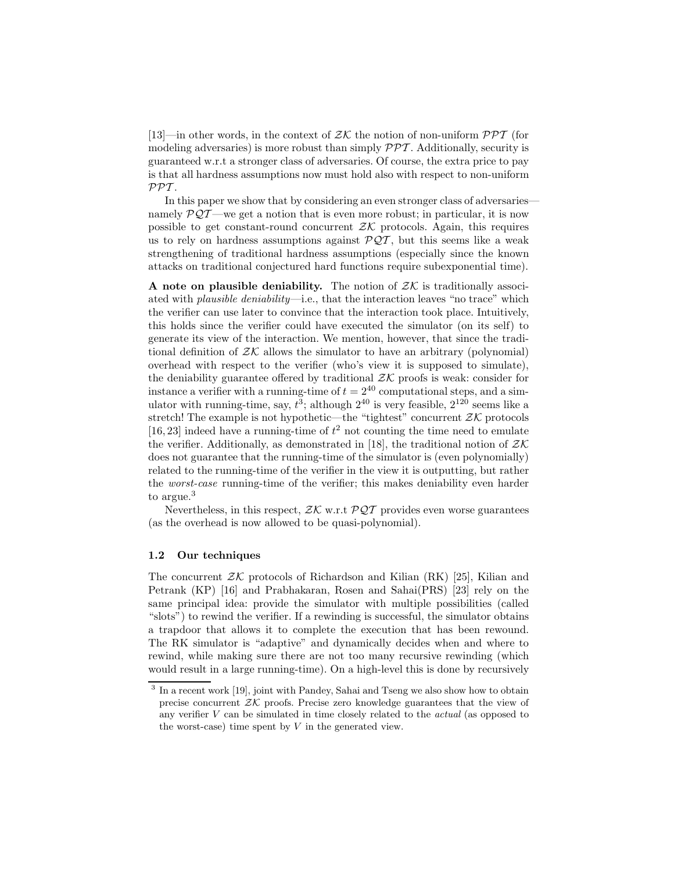[13]—in other words, in the context of  $\mathcal{ZK}$  the notion of non-uniform  $\mathcal{PPT}$  (for modeling adversaries) is more robust than simply  $\mathcal{PPT}$ . Additionally, security is guaranteed w.r.t a stronger class of adversaries. Of course, the extra price to pay is that all hardness assumptions now must hold also with respect to non-uniform  $PPT$ .

In this paper we show that by considering an even stronger class of adversaries namely  $PQT$ —we get a notion that is even more robust; in particular, it is now possible to get constant-round concurrent  $ZK$  protocols. Again, this requires us to rely on hardness assumptions against  $\mathcal{PQT}$ , but this seems like a weak strengthening of traditional hardness assumptions (especially since the known attacks on traditional conjectured hard functions require subexponential time).

A note on plausible deniability. The notion of  $ZK$  is traditionally associated with *plausible deniability*—i.e., that the interaction leaves "no trace" which the verifier can use later to convince that the interaction took place. Intuitively, this holds since the verifier could have executed the simulator (on its self) to generate its view of the interaction. We mention, however, that since the traditional definition of  $ZK$  allows the simulator to have an arbitrary (polynomial) overhead with respect to the verifier (who's view it is supposed to simulate), the deniability guarantee offered by traditional  $\mathcal{ZK}$  proofs is weak: consider for instance a verifier with a running-time of  $t = 2^{40}$  computational steps, and a simulator with running-time, say,  $t^3$ ; although  $2^{40}$  is very feasible,  $2^{120}$  seems like a stretch! The example is not hypothetic—the "tightest" concurrent  $ZK$  protocols [16, 23] indeed have a running-time of  $t^2$  not counting the time need to emulate the verifier. Additionally, as demonstrated in [18], the traditional notion of  $\mathcal{Z} \mathcal{K}$ does not guarantee that the running-time of the simulator is (even polynomially) related to the running-time of the verifier in the view it is outputting, but rather the worst-case running-time of the verifier; this makes deniability even harder to argue.<sup>3</sup>

Nevertheless, in this respect,  $ZK$  w.r.t  $PQT$  provides even worse guarantees (as the overhead is now allowed to be quasi-polynomial).

### 1.2 Our techniques

The concurrent  $ZK$  protocols of Richardson and Kilian (RK) [25], Kilian and Petrank (KP) [16] and Prabhakaran, Rosen and Sahai(PRS) [23] rely on the same principal idea: provide the simulator with multiple possibilities (called "slots") to rewind the verifier. If a rewinding is successful, the simulator obtains a trapdoor that allows it to complete the execution that has been rewound. The RK simulator is "adaptive" and dynamically decides when and where to rewind, while making sure there are not too many recursive rewinding (which would result in a large running-time). On a high-level this is done by recursively

<sup>&</sup>lt;sup>3</sup> In a recent work [19], joint with Pandey, Sahai and Tseng we also show how to obtain precise concurrent  $ZK$  proofs. Precise zero knowledge guarantees that the view of any verifier V can be simulated in time closely related to the actual (as opposed to the worst-case) time spent by  $V$  in the generated view.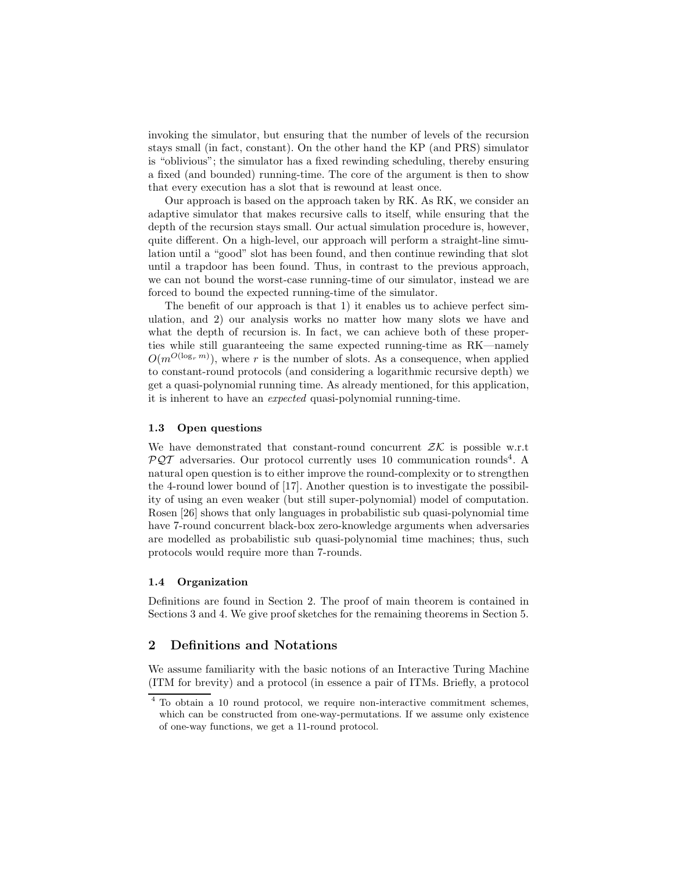invoking the simulator, but ensuring that the number of levels of the recursion stays small (in fact, constant). On the other hand the KP (and PRS) simulator is "oblivious"; the simulator has a fixed rewinding scheduling, thereby ensuring a fixed (and bounded) running-time. The core of the argument is then to show that every execution has a slot that is rewound at least once.

Our approach is based on the approach taken by RK. As RK, we consider an adaptive simulator that makes recursive calls to itself, while ensuring that the depth of the recursion stays small. Our actual simulation procedure is, however, quite different. On a high-level, our approach will perform a straight-line simulation until a "good" slot has been found, and then continue rewinding that slot until a trapdoor has been found. Thus, in contrast to the previous approach, we can not bound the worst-case running-time of our simulator, instead we are forced to bound the expected running-time of the simulator.

The benefit of our approach is that 1) it enables us to achieve perfect simulation, and 2) our analysis works no matter how many slots we have and what the depth of recursion is. In fact, we can achieve both of these properties while still guaranteeing the same expected running-time as RK—namely  $O(m^{O(\log_r m)})$ , where r is the number of slots. As a consequence, when applied to constant-round protocols (and considering a logarithmic recursive depth) we get a quasi-polynomial running time. As already mentioned, for this application, it is inherent to have an expected quasi-polynomial running-time.

#### 1.3 Open questions

We have demonstrated that constant-round concurrent  $Z\mathcal{K}$  is possible w.r.t  $PQT$  adversaries. Our protocol currently uses 10 communication rounds<sup>4</sup>. A natural open question is to either improve the round-complexity or to strengthen the 4-round lower bound of [17]. Another question is to investigate the possibility of using an even weaker (but still super-polynomial) model of computation. Rosen [26] shows that only languages in probabilistic sub quasi-polynomial time have 7-round concurrent black-box zero-knowledge arguments when adversaries are modelled as probabilistic sub quasi-polynomial time machines; thus, such protocols would require more than 7-rounds.

#### 1.4 Organization

Definitions are found in Section 2. The proof of main theorem is contained in Sections 3 and 4. We give proof sketches for the remaining theorems in Section 5.

# 2 Definitions and Notations

We assume familiarity with the basic notions of an Interactive Turing Machine (ITM for brevity) and a protocol (in essence a pair of ITMs. Briefly, a protocol

<sup>4</sup> To obtain a 10 round protocol, we require non-interactive commitment schemes, which can be constructed from one-way-permutations. If we assume only existence of one-way functions, we get a 11-round protocol.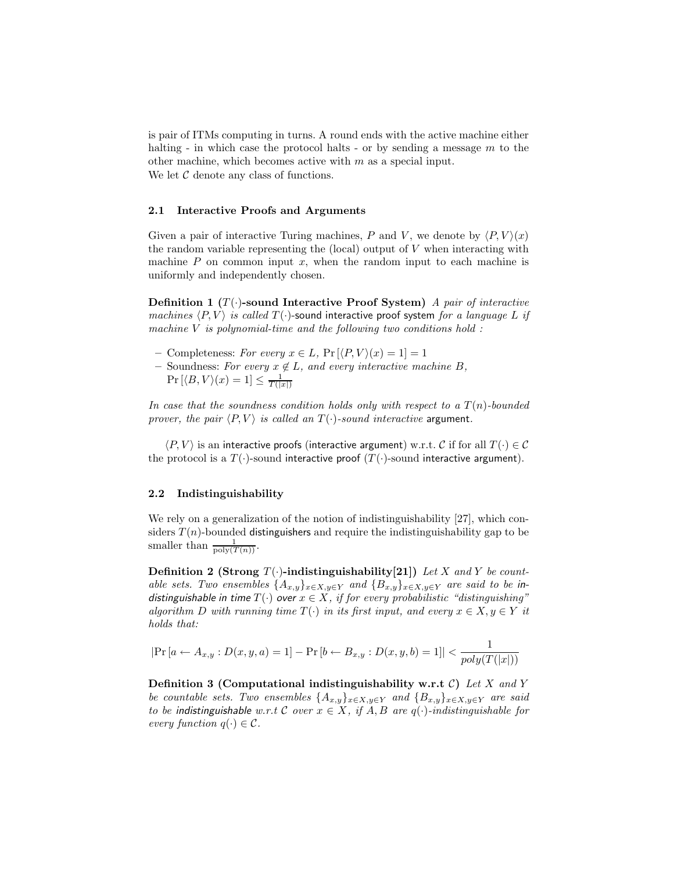is pair of ITMs computing in turns. A round ends with the active machine either halting - in which case the protocol halts - or by sending a message  $m$  to the other machine, which becomes active with  $m$  as a special input. We let  $C$  denote any class of functions.

#### 2.1 Interactive Proofs and Arguments

Given a pair of interactive Turing machines, P and V, we denote by  $\langle P, V \rangle (x)$ the random variable representing the  $(local)$  output of V when interacting with machine  $P$  on common input  $x$ , when the random input to each machine is uniformly and independently chosen.

Definition 1  $(T(\cdot)$ -sound Interactive Proof System) A pair of interactive machines  $\langle P, V \rangle$  is called  $T(\cdot)$ -sound interactive proof system for a language L if machine  $V$  is polynomial-time and the following two conditions hold :

- Completeness: For every  $x \in L$ ,  $Pr[\langle P, V \rangle(x) = 1] = 1$
- Soundness: For every  $x \notin L$ , and every interactive machine B,  $\Pr\left[ \langle B, V \rangle (x) = 1 \right] \leq \frac{1}{T(|x|)}$

In case that the soundness condition holds only with respect to a  $T(n)$ -bounded prover, the pair  $\langle P, V \rangle$  is called an  $T(\cdot)$ -sound interactive argument.

 $\langle P, V \rangle$  is an interactive proofs (interactive argument) w.r.t. C if for all  $T(\cdot) \in \mathcal{C}$ the protocol is a  $T(\cdot)$ -sound interactive proof  $(T(\cdot)$ -sound interactive argument).

#### 2.2 Indistinguishability

We rely on a generalization of the notion of indistinguishability [27], which considers  $T(n)$ -bounded distinguishers and require the indistinguishability gap to be smaller than  $\frac{1}{\text{poly}(T(n))}$ .

**Definition 2 (Strong T(.)-indistinguishability[21])** Let X and Y be countable sets. Two ensembles  $\{A_{x,y}\}_{x\in X,y\in Y}$  and  $\{B_{x,y}\}_{x\in X,y\in Y}$  are said to be indistinguishable in time  $T(\cdot)$  over  $x \in X$ , if for every probabilistic "distinguishing" algorithm D with running time  $T(\cdot)$  in its first input, and every  $x \in X, y \in Y$  it holds that:

$$
|\Pr[a \leftarrow A_{x,y} : D(x,y,a) = 1] - \Pr[b \leftarrow B_{x,y} : D(x,y,b) = 1]| < \frac{1}{poly(T(|x|))}
$$

**Definition 3 (Computational indistinguishability w.r.t C)** Let X and Y be countable sets. Two ensembles  $\{A_{x,y}\}_{x\in X,y\in Y}$  and  $\{B_{x,y}\}_{x\in X,y\in Y}$  are said to be indistinguishable w.r.t C over  $x \in X$ , if A, B are  $q(\cdot)$ -indistinguishable for every function  $q(\cdot) \in \mathcal{C}$ .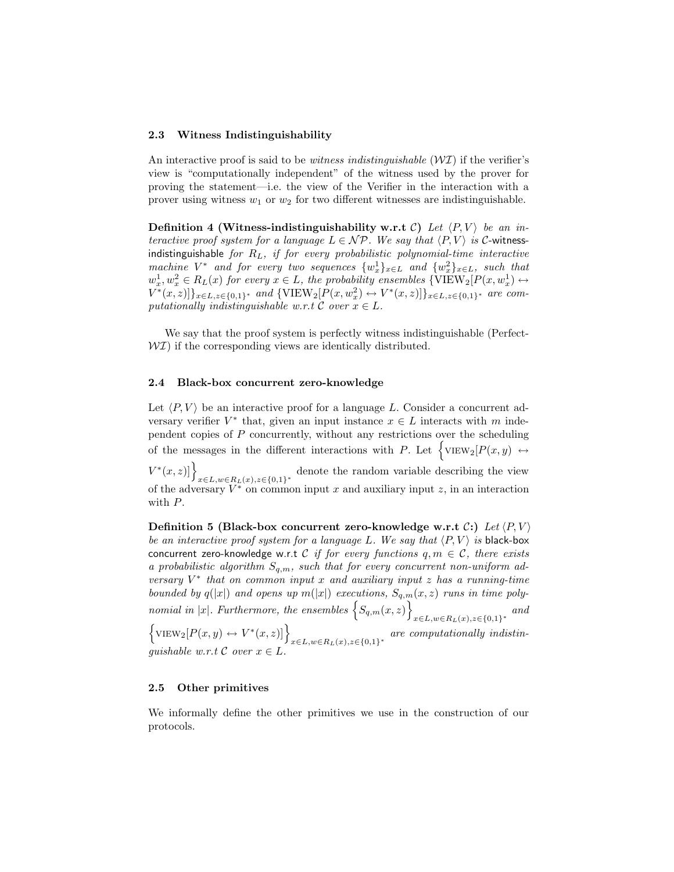#### 2.3 Witness Indistinguishability

An interactive proof is said to be *witness indistinguishable*  $(\mathcal{W} \mathcal{I})$  if the verifier's view is "computationally independent" of the witness used by the prover for proving the statement—i.e. the view of the Verifier in the interaction with a prover using witness  $w_1$  or  $w_2$  for two different witnesses are indistinguishable.

**Definition 4 (Witness-indistinguishability w.r.t C)** Let  $\langle P, V \rangle$  be an interactive proof system for a language  $L \in \mathcal{NP}$ . We say that  $\langle P, V \rangle$  is C-witnessindistinguishable for  $R_L$ , if for every probabilistic polynomial-time interactive machine  $V^*$  and for every two sequences  $\{w_x^1\}_{x \in L}$  and  $\{w_x^2\}_{x \in L}$ , such that  $w_x^1, w_x^2 \in R_L(x)$  for every  $x \in L$ , the probability ensembles  $\{\text{VIEW}_2[P(x, w_x^1) \leftrightarrow w_x^2] \}$  $V^*(x, z)]\}_{x \in L, z \in \{0,1\}^*}$  and  $\{\text{VIEW}_2[P(x, w_x^2) \leftrightarrow V^*(x, z)]\}_{x \in L, z \in \{0,1\}^*}$  are computationally indistinguishable w.r.t  $\mathcal C$  over  $x \in L$ .

We say that the proof system is perfectly witness indistinguishable (Perfect- $W\mathcal{I}$ ) if the corresponding views are identically distributed.

#### 2.4 Black-box concurrent zero-knowledge

Let  $\langle P, V \rangle$  be an interactive proof for a language L. Consider a concurrent adversary verifier  $V^*$  that, given an input instance  $x \in L$  interacts with m independent copies of P concurrently, without any restrictions over the scheduling of the messages in the different interactions with P. Let  $\big\{\text{VIEW}_2[P(x, y) \leftrightarrow$  $V^*(x, z)$ ] $\}_{x \in L, w \in R_L(x), z \in \{0,1\}^*}$  denote the random variable describing the view of the adversary  $V^*$  on common input x and auxiliary input z, in an interaction with P.

Definition 5 (Black-box concurrent zero-knowledge w.r.t  $\mathcal{C}$ :) Let  $\langle P, V \rangle$ be an interactive proof system for a language L. We say that  $\langle P, V \rangle$  is black-box concurrent zero-knowledge w.r.t C if for every functions  $q, m \in \mathcal{C}$ , there exists a probabilistic algorithm  $S_{q,m}$ , such that for every concurrent non-uniform adversary  $V^*$  that on common input x and auxiliary input z has a running-time bounded by  $q(|x|)$  and opens up  $m(|x|)$  executions,  $S_{q,m}(x, z)$  runs in time polynomial in |x|. Furthermore, the ensembles  $\{S_{q,m}(x,z)\}\$  $x \in L, w \in R_L(x), z \in \{0,1\}^*$  and

 $\left\{\text{VIEW}_2[P(x,y) \leftrightarrow V^*(x,z)]\right\}_{x \in L, w \in R_L(x), z \in \{0,1\}^*}$  are computationally indistinquishable w.r.t C over  $x \in L$ .

#### 2.5 Other primitives

We informally define the other primitives we use in the construction of our protocols.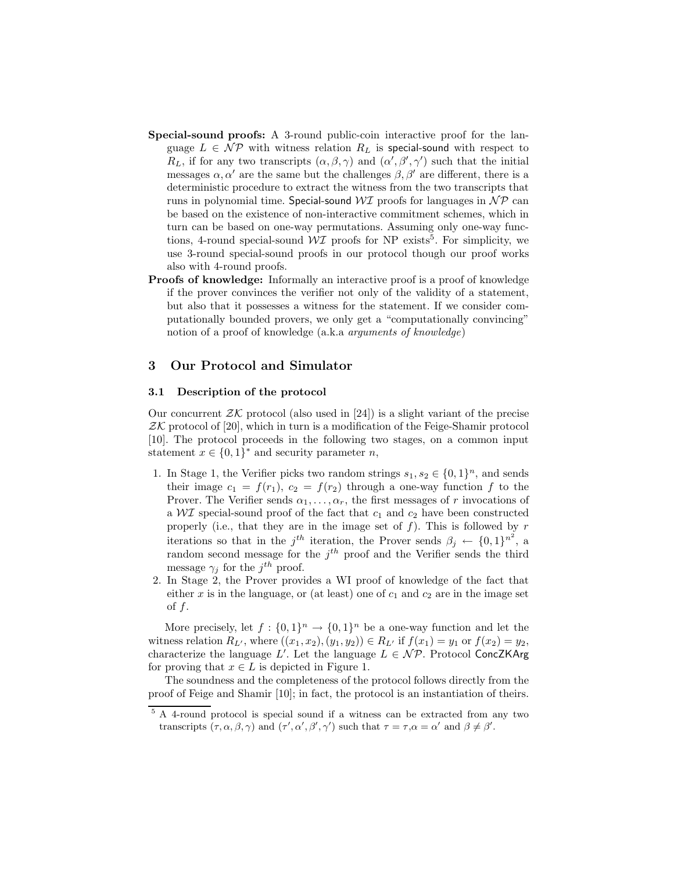- Special-sound proofs: A 3-round public-coin interactive proof for the language  $L \in \mathcal{NP}$  with witness relation  $R_L$  is special-sound with respect to  $R_L$ , if for any two transcripts  $(\alpha, \beta, \gamma)$  and  $(\alpha', \beta', \gamma')$  such that the initial messages  $\alpha, \alpha'$  are the same but the challenges  $\beta, \beta'$  are different, there is a deterministic procedure to extract the witness from the two transcripts that runs in polynomial time. Special-sound  $\mathcal{W} \mathcal{I}$  proofs for languages in  $\mathcal{NP}$  can be based on the existence of non-interactive commitment schemes, which in turn can be based on one-way permutations. Assuming only one-way functions, 4-round special-sound  $\mathcal{W} \mathcal{I}$  proofs for NP exists<sup>5</sup>. For simplicity, we use 3-round special-sound proofs in our protocol though our proof works also with 4-round proofs.
- **Proofs of knowledge:** Informally an interactive proof is a proof of knowledge if the prover convinces the verifier not only of the validity of a statement, but also that it possesses a witness for the statement. If we consider computationally bounded provers, we only get a "computationally convincing" notion of a proof of knowledge (a.k.a arguments of knowledge)

#### 3 Our Protocol and Simulator

### 3.1 Description of the protocol

Our concurrent  $ZK$  protocol (also used in [24]) is a slight variant of the precise  $ZK$  protocol of [20], which in turn is a modification of the Feige-Shamir protocol [10]. The protocol proceeds in the following two stages, on a common input statement  $x \in \{0,1\}^*$  and security parameter n,

- 1. In Stage 1, the Verifier picks two random strings  $s_1, s_2 \in \{0, 1\}^n$ , and sends their image  $c_1 = f(r_1)$ ,  $c_2 = f(r_2)$  through a one-way function f to the Prover. The Verifier sends  $\alpha_1, \ldots, \alpha_r$ , the first messages of r invocations of a  $\mathcal{W} \mathcal{I}$  special-sound proof of the fact that  $c_1$  and  $c_2$  have been constructed properly (i.e., that they are in the image set of  $f$ ). This is followed by  $r$ iterations so that in the  $j<sup>th</sup>$  iteration, the Prover sends  $\beta_j \leftarrow \{0,1\}^{n^2}$ , a random second message for the  $j<sup>th</sup>$  proof and the Verifier sends the third message  $\gamma_j$  for the  $j^{th}$  proof.
- 2. In Stage 2, the Prover provides a WI proof of knowledge of the fact that either  $x$  is in the language, or (at least) one of  $c_1$  and  $c_2$  are in the image set of f.

More precisely, let  $f: \{0,1\}^n \to \{0,1\}^n$  be a one-way function and let the witness relation  $R_{L'}$ , where  $((x_1, x_2), (y_1, y_2)) \in R_{L'}$  if  $f(x_1) = y_1$  or  $f(x_2) = y_2$ , characterize the language L'. Let the language  $L \in \mathcal{NP}$ . Protocol ConcZKArg for proving that  $x \in L$  is depicted in Figure 1.

The soundness and the completeness of the protocol follows directly from the proof of Feige and Shamir [10]; in fact, the protocol is an instantiation of theirs.

<sup>5</sup> A 4-round protocol is special sound if a witness can be extracted from any two transcripts  $(\tau, \alpha, \beta, \gamma)$  and  $(\tau', \alpha', \beta', \gamma')$  such that  $\tau = \tau, \alpha = \alpha'$  and  $\beta \neq \beta'$ .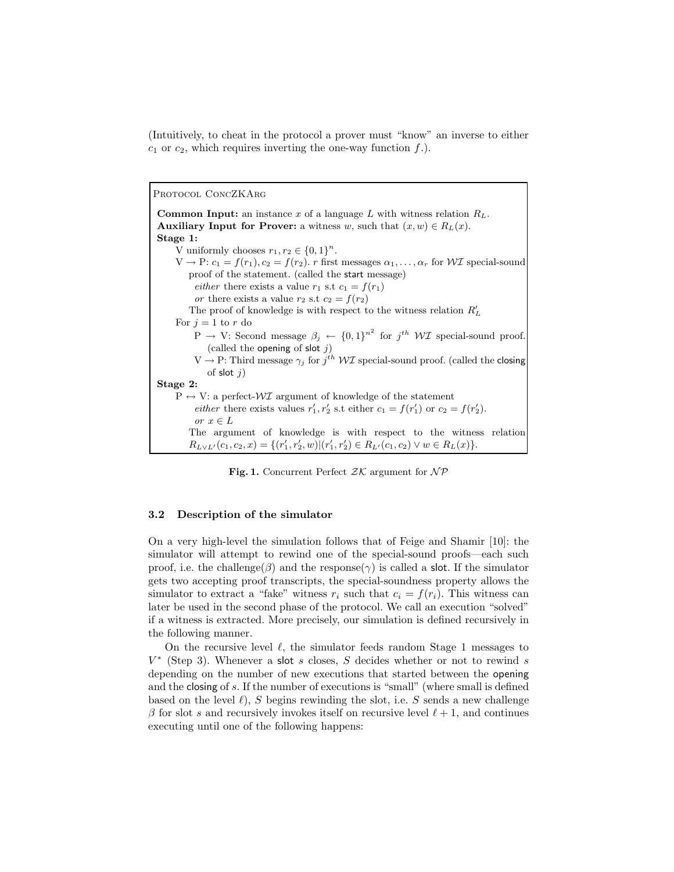(Intuitively, to cheat in the protocol a prover must "know" an inverse to either  $c_1$  or  $c_2$ , which requires inverting the one-way function  $f$ .).

PROTOCOL CONCZKARG

**Common Input:** an instance x of a language L with witness relation  $R_L$ . Auxiliary Input for Prover: a witness w, such that  $(x, w) \in R_L(x)$ . Stage 1: V uniformly chooses  $r_1, r_2 \in \{0, 1\}^n$ .  $V \to P: c_1 = f(r_1), c_2 = f(r_2)$ . r first messages  $\alpha_1, \ldots, \alpha_r$  for WI special-sound proof of the statement. (called the start message) either there exists a value  $r_1$  s.t  $c_1 = f(r_1)$ or there exists a value  $r_2$  s.t  $c_2 = f(r_2)$ The proof of knowledge is with respect to the witness relation  $R'_L$ For  $j = 1$  to r do  $P \rightarrow V$ : Second message  $\beta_j \leftarrow \{0,1\}^{n^2}$  for  $j^{th} \ W\mathcal{I}$  special-sound proof. (called the opening of slot  $j$ )  $V \to P$ : Third message  $\gamma_j$  for  $j^{th} W\mathcal{I}$  special-sound proof. (called the closing of slot  $j$ ) Stage 2:  $P \leftrightarrow V:$  a perfect- $\mathcal{W} \mathcal{I}$  argument of knowledge of the statement *either* there exists values  $r'_1, r'_2$  s.t either  $c_1 = f(r'_1)$  or  $c_2 = f(r'_2)$ . or  $x \in L$ The argument of knowledge is with respect to the witness relation  $R_{L \vee L'}(c_1, c_2, x) = \{ (r'_1, r'_2, w) | (r'_1, r'_2) \in R_{L'}(c_1, c_2) \vee w \in R_L(x) \}.$ 

**Fig. 1.** Concurrent Perfect  $ZK$  argument for  $\mathcal{NP}$ 

### 3.2 Description of the simulator

On a very high-level the simulation follows that of Feige and Shamir [10]: the simulator will attempt to rewind one of the special-sound proofs—each such proof, i.e. the challenge( $\beta$ ) and the response( $\gamma$ ) is called a slot. If the simulator gets two accepting proof transcripts, the special-soundness property allows the simulator to extract a "fake" witness  $r_i$  such that  $c_i = f(r_i)$ . This witness can later be used in the second phase of the protocol. We call an execution "solved" if a witness is extracted. More precisely, our simulation is defined recursively in the following manner.

On the recursive level  $\ell$ , the simulator feeds random Stage 1 messages to  $V^*$  (Step 3). Whenever a slot s closes, S decides whether or not to rewind s depending on the number of new executions that started between the opening and the closing of s. If the number of executions is "small" (where small is defined based on the level  $\ell$ ), S begins rewinding the slot, i.e. S sends a new challenge  $\beta$  for slot s and recursively invokes itself on recursive level  $\ell + 1$ , and continues executing until one of the following happens: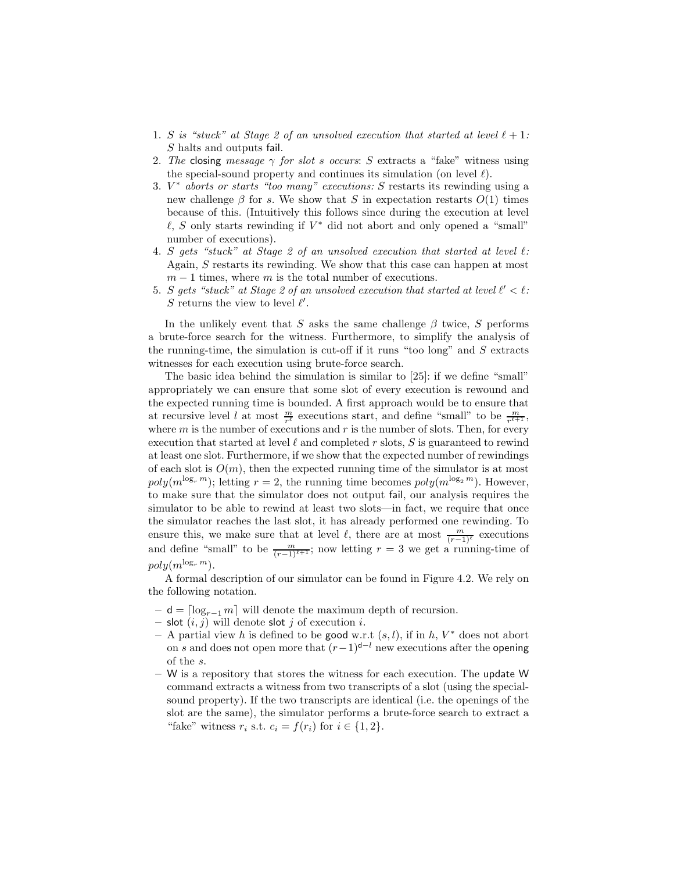- 1. S is "stuck" at Stage 2 of an unsolved execution that started at level  $\ell + 1$ : S halts and outputs fail.
- 2. The closing message  $\gamma$  for slot s occurs: S extracts a "fake" witness using the special-sound property and continues its simulation (on level  $\ell$ ).
- 3.  $V^*$  aborts or starts "too many" executions: S restarts its rewinding using a new challenge  $\beta$  for s. We show that S in expectation restarts  $O(1)$  times because of this. (Intuitively this follows since during the execution at level  $\ell$ , S only starts rewinding if  $V^*$  did not abort and only opened a "small" number of executions).
- 4. S gets "stuck" at Stage 2 of an unsolved execution that started at level  $\ell$ : Again, S restarts its rewinding. We show that this case can happen at most  $m-1$  times, where m is the total number of executions.
- 5. S gets "stuck" at Stage 2 of an unsolved execution that started at level  $l' < l$ : S returns the view to level  $\ell'$ .

In the unlikely event that S asks the same challenge  $\beta$  twice, S performs a brute-force search for the witness. Furthermore, to simplify the analysis of the running-time, the simulation is cut-off if it runs "too long" and  $S$  extracts witnesses for each execution using brute-force search.

The basic idea behind the simulation is similar to [25]: if we define "small" appropriately we can ensure that some slot of every execution is rewound and the expected running time is bounded. A first approach would be to ensure that at recursive level l at most  $\frac{m}{r^{\ell}}$  executions start, and define "small" to be  $\frac{m}{r^{\ell+1}}$ , where  $m$  is the number of executions and  $r$  is the number of slots. Then, for every execution that started at level  $\ell$  and completed r slots, S is guaranteed to rewind at least one slot. Furthermore, if we show that the expected number of rewindings of each slot is  $O(m)$ , then the expected running time of the simulator is at most  $poly(m^{\log_r m})$ ; letting  $r = 2$ , the running time becomes  $poly(m^{\log_2 m})$ . However, to make sure that the simulator does not output fail, our analysis requires the simulator to be able to rewind at least two slots—in fact, we require that once the simulator reaches the last slot, it has already performed one rewinding. To ensure this, we make sure that at level  $\ell$ , there are at most  $\frac{m}{(r-1)^{\ell}}$  executions and define "small" to be  $\frac{m}{(r-1)^{\ell+1}}$ ; now letting  $r=3$  we get a running-time of  $poly(m^{\log_r m})$ .

A formal description of our simulator can be found in Figure 4.2. We rely on the following notation.

- $d = \lceil log_{r-1} m \rceil$  will denote the maximum depth of recursion.
- slot  $(i, j)$  will denote slot j of execution i.
- $-$  A partial view h is defined to be good w.r.t  $(s, l)$ , if in h,  $V^*$  does not abort on s and does not open more that  $(r-1)^{d-l}$  new executions after the opening of the s.
- $-$  W is a repository that stores the witness for each execution. The update W command extracts a witness from two transcripts of a slot (using the specialsound property). If the two transcripts are identical (i.e. the openings of the slot are the same), the simulator performs a brute-force search to extract a "fake" witness  $r_i$  s.t.  $c_i = f(r_i)$  for  $i \in \{1, 2\}$ .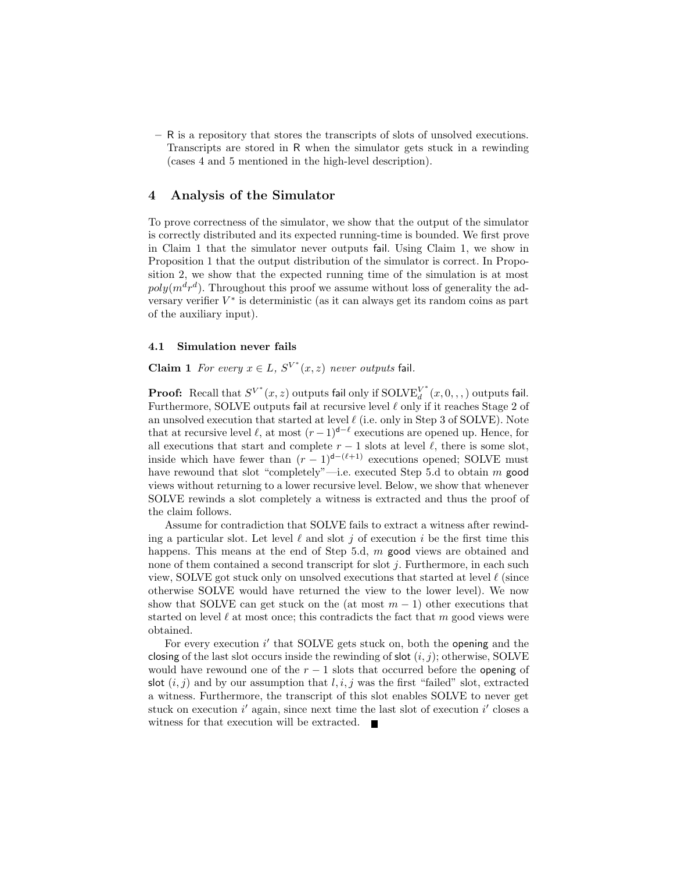– R is a repository that stores the transcripts of slots of unsolved executions. Transcripts are stored in R when the simulator gets stuck in a rewinding (cases 4 and 5 mentioned in the high-level description).

# 4 Analysis of the Simulator

To prove correctness of the simulator, we show that the output of the simulator is correctly distributed and its expected running-time is bounded. We first prove in Claim 1 that the simulator never outputs fail. Using Claim 1, we show in Proposition 1 that the output distribution of the simulator is correct. In Proposition 2, we show that the expected running time of the simulation is at most  $poly(m^d r^d)$ . Throughout this proof we assume without loss of generality the adversary verifier  $V^*$  is deterministic (as it can always get its random coins as part of the auxiliary input).

#### 4.1 Simulation never fails

**Claim 1** For every  $x \in L$ ,  $S^{V^*}(x, z)$  never outputs fail.

**Proof:** Recall that  $S^{V^*}(x, z)$  outputs fail only if  $SOLVE_d^{V^*}$  $\int_{d}^{V^{+}}(x,0,,,)$  outputs fail. Furthermore, SOLVE outputs fail at recursive level ℓ only if it reaches Stage 2 of an unsolved execution that started at level  $\ell$  (i.e. only in Step 3 of SOLVE). Note that at recursive level  $\ell$ , at most  $(r-1)^{d-\ell}$  executions are opened up. Hence, for all executions that start and complete  $r - 1$  slots at level  $\ell$ , there is some slot, inside which have fewer than  $(r-1)^{d-(\ell+1)}$  executions opened; SOLVE must have rewound that slot "completely"—i.e. executed Step 5.d to obtain m good views without returning to a lower recursive level. Below, we show that whenever SOLVE rewinds a slot completely a witness is extracted and thus the proof of the claim follows.

Assume for contradiction that SOLVE fails to extract a witness after rewinding a particular slot. Let level  $\ell$  and slot j of execution i be the first time this happens. This means at the end of Step 5.d, m good views are obtained and none of them contained a second transcript for slot  $j$ . Furthermore, in each such view, SOLVE got stuck only on unsolved executions that started at level  $\ell$  (since otherwise SOLVE would have returned the view to the lower level). We now show that SOLVE can get stuck on the (at most  $m-1$ ) other executions that started on level  $\ell$  at most once; this contradicts the fact that m good views were obtained.

For every execution i' that SOLVE gets stuck on, both the opening and the closing of the last slot occurs inside the rewinding of slot  $(i, j)$ ; otherwise, SOLVE would have rewound one of the  $r - 1$  slots that occurred before the opening of slot  $(i, j)$  and by our assumption that  $l, i, j$  was the first "failed" slot, extracted a witness. Furthermore, the transcript of this slot enables SOLVE to never get stuck on execution  $i'$  again, since next time the last slot of execution  $i'$  closes a witness for that execution will be extracted. $\blacksquare$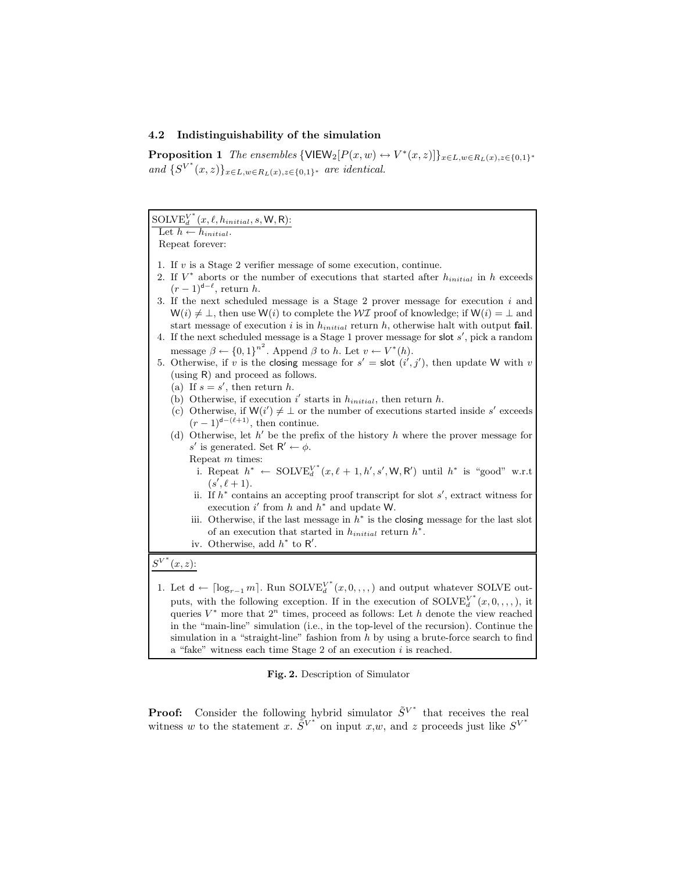# 4.2 Indistinguishability of the simulation

**Proposition 1** The ensembles  $\{\text{VIEW}_2[P(x, w) \leftrightarrow V^*(x, z)]\}_{x \in L, w \in R_L(x), z \in \{0,1\}^*}$ and  $\{S^{V^*}(x,z)\}_{x\in L, w\in R_L(x), z\in\{0,1\}^*}$  are identical.

| $\text{SOLVE}_{d}^{V^*}(x, \ell, h_{initial}, s, \mathsf{W}, \mathsf{R})$ :                                                                                                                                                                                                                                                                                                                                               |
|---------------------------------------------------------------------------------------------------------------------------------------------------------------------------------------------------------------------------------------------------------------------------------------------------------------------------------------------------------------------------------------------------------------------------|
| Let $h \leftarrow h_{initial}$ .                                                                                                                                                                                                                                                                                                                                                                                          |
| Repeat forever:                                                                                                                                                                                                                                                                                                                                                                                                           |
| 1. If $v$ is a Stage 2 verifier message of some execution, continue.<br>2. If $V^*$ aborts or the number of executions that started after $h_{initial}$ in h exceeds<br>$(r-1)^{d-\ell}$ , return h.<br>3. If the next scheduled message is a Stage $2$ prover message for execution $i$ and<br>$W(i) \neq \bot$ , then use $W(i)$ to complete the $W\mathcal{I}$ proof of knowledge; if $W(i) = \bot$ and                |
| start message of execution $i$ is in $h_{initial}$ return $h$ , otherwise halt with output fail.<br>4. If the next scheduled message is a Stage 1 prover message for slot $s'$ , pick a random<br>message $\beta \leftarrow \{0,1\}^{n^2}$ . Append $\beta$ to h. Let $v \leftarrow V^*(h)$ .                                                                                                                             |
| 5. Otherwise, if v is the closing message for $s' =$ slot $(i', j')$ , then update W with v<br>(using R) and proceed as follows.<br>(a) If $s = s'$ , then return h.                                                                                                                                                                                                                                                      |
| (b) Otherwise, if execution $i'$ starts in $h_{initial}$ , then return h.                                                                                                                                                                                                                                                                                                                                                 |
| (c) Otherwise, if $W(i') \neq \perp$ or the number of executions started inside s' exceeds                                                                                                                                                                                                                                                                                                                                |
| $(r-1)^{d-(\ell+1)}$ , then continue.                                                                                                                                                                                                                                                                                                                                                                                     |
| (d) Otherwise, let $h'$ be the prefix of the history h where the prover message for                                                                                                                                                                                                                                                                                                                                       |
| s' is generated. Set $R' \leftarrow \phi$ .                                                                                                                                                                                                                                                                                                                                                                               |
|                                                                                                                                                                                                                                                                                                                                                                                                                           |
| Repeat $m$ times:                                                                                                                                                                                                                                                                                                                                                                                                         |
| i. Repeat $h^* \leftarrow \text{SOLVE}_{d}^{V^*}(x, \ell+1, h', s', \mathsf{W}, \mathsf{R}')$ until $h^*$ is "good" w.r.t<br>$(s', \ell + 1).$                                                                                                                                                                                                                                                                            |
| ii. If $h^*$ contains an accepting proof transcript for slot $s'$ , extract witness for<br>execution i' from h and $h^*$ and update W.                                                                                                                                                                                                                                                                                    |
| iii. Otherwise, if the last message in $h^*$ is the closing message for the last slot<br>of an execution that started in $h_{initial}$ return $h^*$ .                                                                                                                                                                                                                                                                     |
| iv. Otherwise, add $h^*$ to R'.                                                                                                                                                                                                                                                                                                                                                                                           |
|                                                                                                                                                                                                                                                                                                                                                                                                                           |
| $S^{V^*}(x, z)$ :                                                                                                                                                                                                                                                                                                                                                                                                         |
| 1. Let $\mathsf{d} \leftarrow [\log_{r-1} m]$ . Run SOLV $\mathbb{E}_{d}^{V^*}(x,0,,\cdot,\cdot)$ and output whatever SOLVE out-<br>puts, with the following exception. If in the execution of $\mathrm{SOLVE}^{V^*}_{d}(x,0,,,,),$ it<br>queries $V^*$ more that $2^n$ times, proceed as follows: Let h denote the view reached<br>in the "main-line" simulation (i.e., in the top-level of the recursion). Continue the |

Fig. 2. Description of Simulator

a "fake" witness each time Stage  $2$  of an execution  $i$  is reached.

simulation in a "straight-line" fashion from  $h$  by using a brute-force search to find

**Proof:** Consider the following hybrid simulator  $\tilde{S}^{V^*}$  that receives the real witness w to the statement x.  $\widetilde{S}^{V^*}$  on input x,w, and z proceeds just like  $S^{V^*}$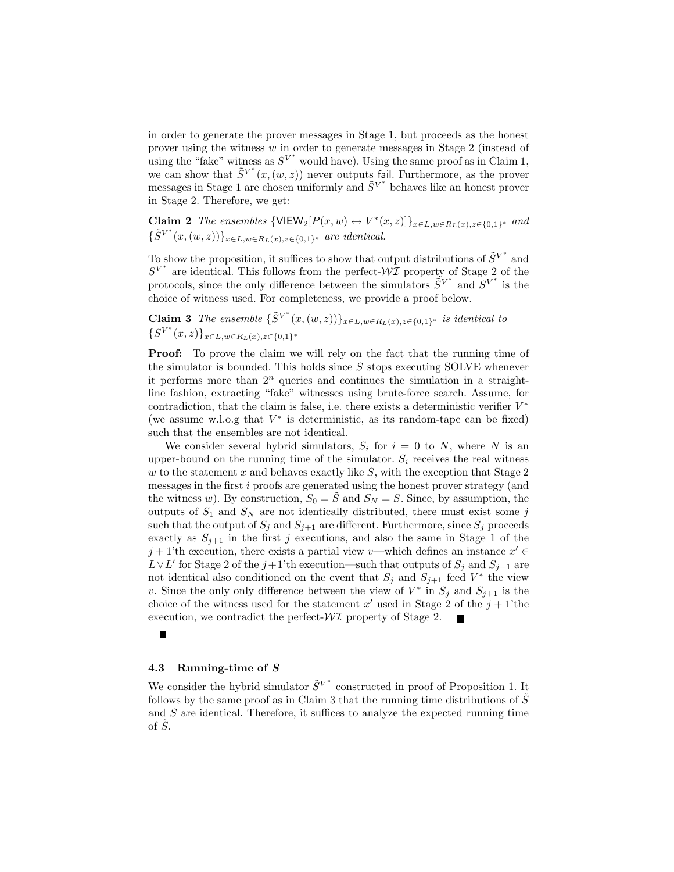in order to generate the prover messages in Stage 1, but proceeds as the honest prover using the witness  $w$  in order to generate messages in Stage 2 (instead of using the "fake" witness as  $S^{V^*}$  would have). Using the same proof as in Claim 1, we can show that  $\tilde{S}^{V^*}(x,(w,z))$  never outputs fail. Furthermore, as the prover messages in Stage 1 are chosen uniformly and  $\tilde{S}^{V^*}$  behaves like an honest prover in Stage 2. Therefore, we get:

**Claim 2** The ensembles  $\{VIEW_2[P(x,w) \leftrightarrow V^*(x,z)]\}_{x \in L, w \in R_L(x), z \in \{0,1\}^*}$  and  $\{\tilde{S}^{V^*}(x,(w,z))\}_{x \in L, w \in R_L(x), z \in \{0,1\}^*}$  are identical.

To show the proposition, it suffices to show that output distributions of  $\tilde{S}^{V^*}$  and  $S^{V^*}$  are identical. This follows from the perfect- $\mathcal{W}$ I property of Stage 2 of the protocols, since the only difference between the simulators  $\tilde{S}^{V^*}$  and  $S^{V^*}$  is the choice of witness used. For completeness, we provide a proof below.

**Claim 3** The ensemble  $\{\tilde{S}^{V^*}(x,(w,z))\}_{x \in L, w \in R_L(x), z \in \{0,1\}^*}$  is identical to  $\{S^{V^*}(x,z)\}_{x\in L, w\in R_L(x), z\in\{0,1\}^*}$ 

**Proof:** To prove the claim we will rely on the fact that the running time of the simulator is bounded. This holds since  $S$  stops executing SOLVE whenever it performs more than  $2^n$  queries and continues the simulation in a straightline fashion, extracting "fake" witnesses using brute-force search. Assume, for contradiction, that the claim is false, i.e. there exists a deterministic verifier  $V^*$ (we assume w.l.o.g that  $V^*$  is deterministic, as its random-tape can be fixed) such that the ensembles are not identical.

We consider several hybrid simulators,  $S_i$  for  $i = 0$  to N, where N is an upper-bound on the running time of the simulator.  $S_i$  receives the real witness w to the statement x and behaves exactly like  $S$ , with the exception that Stage 2 messages in the first i proofs are generated using the honest prover strategy (and the witness w). By construction,  $S_0 = \tilde{S}$  and  $S_N = S$ . Since, by assumption, the outputs of  $S_1$  and  $S_N$  are not identically distributed, there must exist some j such that the output of  $S_j$  and  $S_{j+1}$  are different. Furthermore, since  $S_j$  proceeds exactly as  $S_{j+1}$  in the first j executions, and also the same in Stage 1 of the  $j+1$ 'th execution, there exists a partial view v—which defines an instance  $x' \in$  $L \vee L'$  for Stage 2 of the j+1'th execution—such that outputs of  $S_j$  and  $S_{j+1}$  are not identical also conditioned on the event that  $S_j$  and  $S_{j+1}$  feed  $V^*$  the view v. Since the only only difference between the view of  $V^*$  in  $S_j$  and  $S_{j+1}$  is the choice of the witness used for the statement  $x'$  used in Stage 2 of the  $j + 1$ 'the execution, we contradict the perfect- $\mathcal{WI}$  property of Stage 2.

### 4.3 Running-time of S

We consider the hybrid simulator  $\tilde{S}^{V^*}$  constructed in proof of Proposition 1. It follows by the same proof as in Claim 3 that the running time distributions of  $S$ and  $S$  are identical. Therefore, it suffices to analyze the expected running time of  $\tilde{S}$ .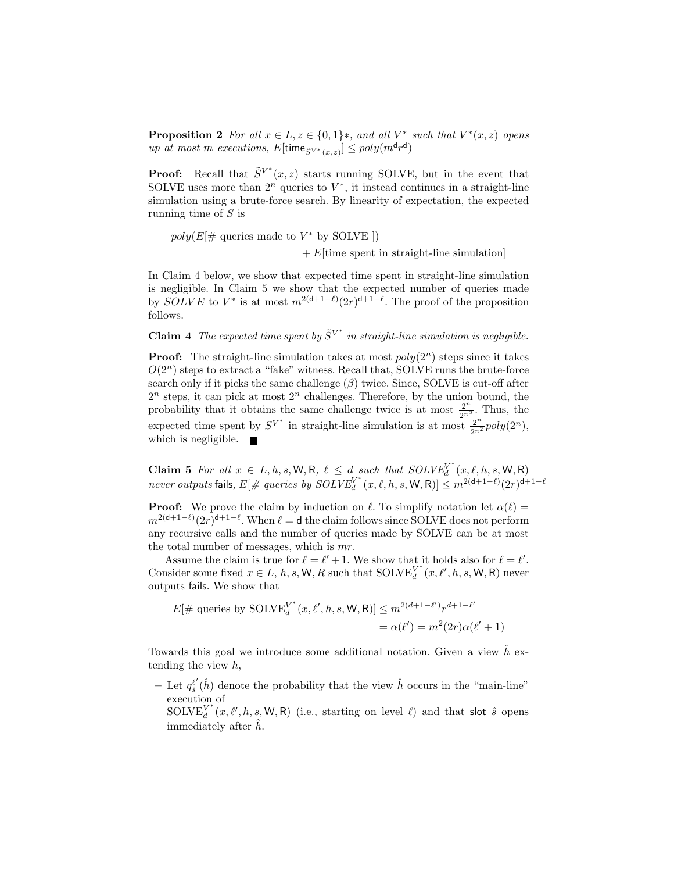**Proposition 2** For all  $x \in L$ ,  $z \in \{0, 1\}$ \*, and all  $V^*$  such that  $V^*(x, z)$  opens up at most m executions,  $E[\text{time}_{\tilde{S}^{V^*}(x,z)}] \leq poly(m^{\mathsf{d}} r^{\mathsf{d}})$ 

**Proof:** Recall that  $\tilde{S}^{V^*}(x, z)$  starts running SOLVE, but in the event that SOLVE uses more than  $2^n$  queries to  $V^*$ , it instead continues in a straight-line simulation using a brute-force search. By linearity of expectation, the expected running time of S is

 $poly(E[\# \text{ queries made to } V^* \text{ by SOLVE }])$  $+ E$ [time spent in straight-line simulation]

In Claim 4 below, we show that expected time spent in straight-line simulation is negligible. In Claim 5 we show that the expected number of queries made by  $SOLVE$  to  $V^*$  is at most  $m^{2(d+1-\ell)}(2r)^{d+1-\ell}$ . The proof of the proposition follows.

**Claim 4** The expected time spent by  $\tilde{S}^{V^*}$  in straight-line simulation is negligible.

**Proof:** The straight-line simulation takes at most  $poly(2^n)$  steps since it takes  $O(2^n)$  steps to extract a "fake" witness. Recall that, SOLVE runs the brute-force search only if it picks the same challenge  $(\beta)$  twice. Since, SOLVE is cut-off after  $2^n$  steps, it can pick at most  $2^n$  challenges. Therefore, by the union bound, the probability that it obtains the same challenge twice is at most  $\frac{2^n}{2^n^2}$ . Thus, the expected time spent by  $S^{V^*}$  in straight-line simulation is at most  $\frac{2^n}{2^{n^2}}poly(2^n)$ , which is negligible.  $\blacksquare$ 

Claim 5 For all  $x \in L, h, s, W, R, \ell \leq d$  such that  $SOLVE_d^{V^*}$  $d_d^V(x,\ell,h,s,\mathsf{W},\mathsf{R})$ never outputs fails,  $E[\text{# queries by } SOLVE_d^{\text{}}]$  $\int_{d}^{W^*}(x,\ell,h,s,{\sf W},{\sf R})] \leq m^{2(\mathsf{d}+1-\ell)}(2r)^{\mathsf{d}+1-\ell}$ 

**Proof:** We prove the claim by induction on  $\ell$ . To simplify notation let  $\alpha(\ell)$  =  $m^{2(d+1-\ell)}(2r)^{d+1-\ell}$ . When  $\ell = d$  the claim follows since SOLVE does not perform any recursive calls and the number of queries made by SOLVE can be at most the total number of messages, which is mr.

Assume the claim is true for  $\ell = \ell' + 1$ . We show that it holds also for  $\ell = \ell'$ . Consider some fixed  $x \in L$ , h, s, W, R such that  $\text{SOLVE}_{d}^{V^*}$  $_{d}^{V^*}(x, \ell', h, s, \mathsf{W}, \mathsf{R})$  never outputs fails. We show that

$$
E[\#\text{ queries by SOLVE}_{d}^{V^*}(x, \ell', h, s, \mathsf{W}, \mathsf{R})] \leq m^{2(d+1-\ell')} r^{d+1-\ell'}
$$

$$
= \alpha(\ell') = m^2(2r)\alpha(\ell'+1)
$$

Towards this goal we introduce some additional notation. Given a view  $\hat{h}$  extending the view h,

– Let  $q_{\hat{s}}^{\ell'}$  $\ell^{'}(\hat{h})$  denote the probability that the view  $\hat{h}$  occurs in the "main-line" execution of

 $\mathrm{SOLVE}_{d}^{V^*}$  $\int_{d}^{V^*}(x,\ell',h,s,\mathsf{W},\mathsf{R})$  (i.e., starting on level  $\ell$ ) and that slot  $\hat{s}$  opens immediately after  $\hat{h}$ .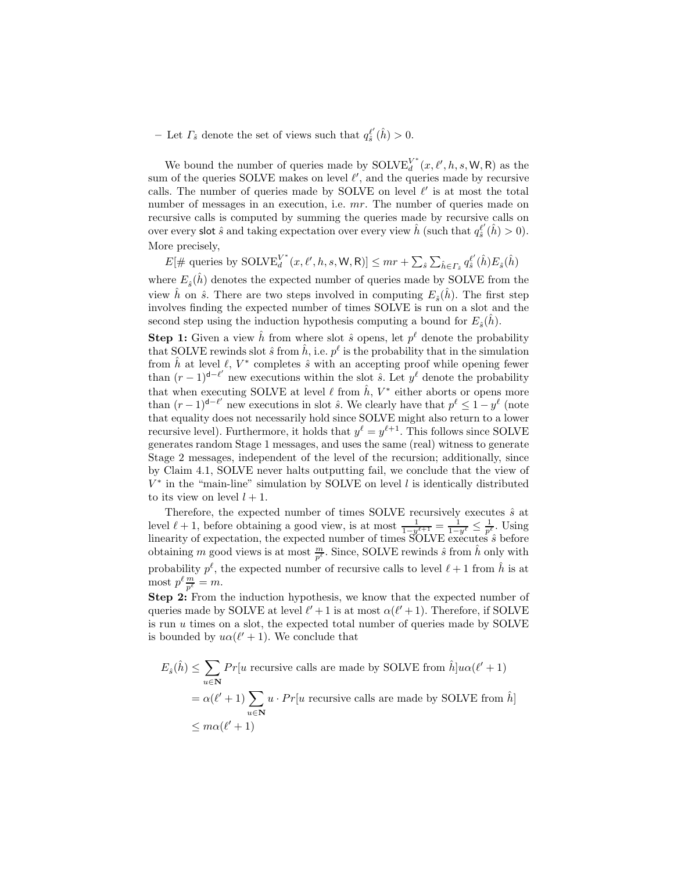– Let  $\Gamma_{\hat{s}}$  denote the set of views such that  $q_{\hat{s}}^{\ell'}$  $_{\hat{s}}^{\ell'}(\hat{h})>0.$ 

We bound the number of queries made by  $\text{SOLVE}_{d}^{V^*}$  $_{d}^{V^*}(x, \ell', h, s, W, R)$  as the sum of the queries SOLVE makes on level  $\ell'$ , and the queries made by recursive calls. The number of queries made by SOLVE on level  $\ell'$  is at most the total number of messages in an execution, i.e.  $mr$ . The number of queries made on recursive calls is computed by summing the queries made by recursive calls on over every slot  $\hat{s}$  and taking expectation over every view  $\hat{h}$  (such that  $q_{\hat{s}}^{\ell'}$  $S_{\hat{s}}^{l'}(\hat{h}) > 0$ . More precisely,

 $E[\text{# queries by SOLVE}_{d}^{V^*}]$  $\frac{V^*}{d}(x,\ell',h,s,\mathsf{W},\mathsf{R})]\leq mr+\sum_{\hat{s}}\sum_{\hat{h}\in\varGamma_{\hat{s}}}q^{\ell'}_{\hat{s}}$  $_{\hat{s}}^{\ell'}(\hat{h})E_{\hat{s}}(\hat{h})$ 

where  $E_{\hat{s}}(\hat{h})$  denotes the expected number of queries made by SOLVE from the view  $\hat{h}$  on  $\hat{s}$ . There are two steps involved in computing  $E_{\hat{s}}(\hat{h})$ . The first step involves finding the expected number of times SOLVE is run on a slot and the second step using the induction hypothesis computing a bound for  $E_{\hat{s}}(\hat{h})$ .

**Step 1:** Given a view  $\hat{h}$  from where slot  $\hat{s}$  opens, let  $p^{\ell}$  denote the probability that SOLVE rewinds slot  $\hat{s}$  from  $\hat{h}$ , i.e.  $p^{\ell}$  is the probability that in the simulation from  $\hat{h}$  at level  $\ell$ ,  $V^*$  completes  $\hat{s}$  with an accepting proof while opening fewer than  $(r-1)^{d-\ell'}$  new executions within the slot  $\hat{s}$ . Let  $y^{\ell}$  denote the probability that when executing SOLVE at level  $\ell$  from  $\hat{h}$ ,  $V^*$  either aborts or opens more than  $(r-1)^{d-\ell'}$  new executions in slot  $\hat{s}$ . We clearly have that  $p^{\ell} \leq 1 - y^{\ell}$  (note that equality does not necessarily hold since SOLVE might also return to a lower recursive level). Furthermore, it holds that  $y^{\ell} = y^{\ell+1}$ . This follows since SOLVE generates random Stage 1 messages, and uses the same (real) witness to generate Stage 2 messages, independent of the level of the recursion; additionally, since by Claim 4.1, SOLVE never halts outputting fail, we conclude that the view of  $V^*$  in the "main-line" simulation by SOLVE on level  $l$  is identically distributed to its view on level  $l + 1$ .

Therefore, the expected number of times SOLVE recursively executes  $\hat{s}$  at level  $\ell + 1$ , before obtaining a good view, is at most  $\frac{1}{1-y^{\ell+1}} = \frac{1}{1-y^{\ell}} \leq \frac{1}{p^{\ell}}$ . Using linearity of expectation, the expected number of times  $\text{SOLVE}$  executes  $\hat{s}$  before obtaining m good views is at most  $\frac{m}{p^{\ell}}$ . Since, SOLVE rewinds  $\hat{s}$  from  $\hat{h}$  only with probability  $p^{\ell}$ , the expected number of recursive calls to level  $\ell + 1$  from  $\hat{h}$  is at most  $p^{\ell} \frac{m}{p^{\ell}} = m$ .

Step 2: From the induction hypothesis, we know that the expected number of queries made by SOLVE at level  $\ell' + 1$  is at most  $\alpha(\ell' + 1)$ . Therefore, if SOLVE is run  $u$  times on a slot, the expected total number of queries made by SOLVE is bounded by  $u\alpha(\ell'+1)$ . We conclude that

$$
E_{\hat{s}}(\hat{h}) \le \sum_{u \in \mathbf{N}} Pr[u \text{ recursive calls are made by SOLVE from } \hat{h}] u \alpha(\ell' + 1)
$$
  
=  $\alpha(\ell' + 1) \sum_{u \in \mathbf{N}} u \cdot Pr[u \text{ recursive calls are made by SOLVE from } \hat{h}]$   
 $\le m \alpha(\ell' + 1)$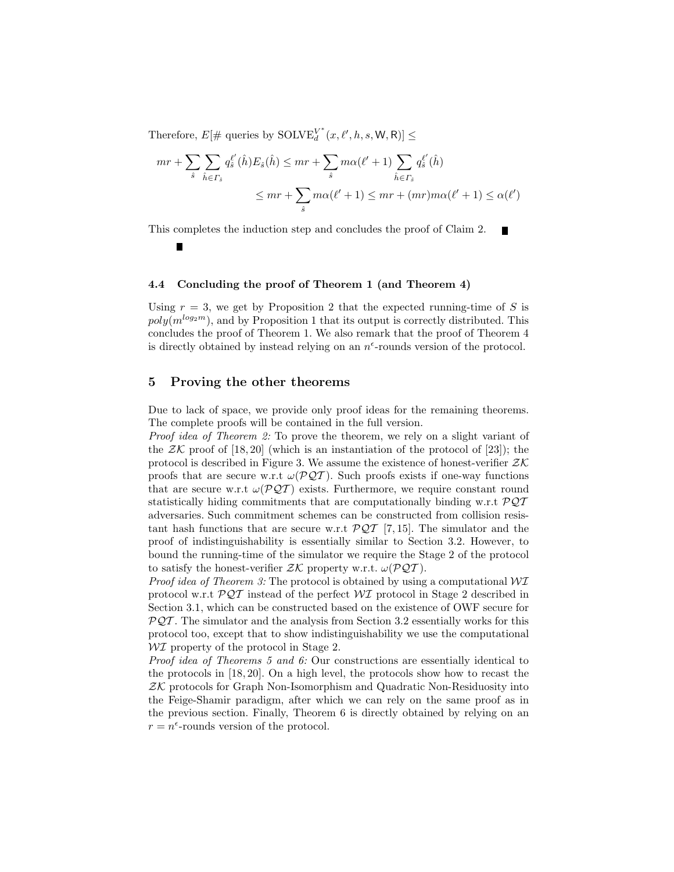Therefore,  $E[\text{# queries by SOLVE}_{d}^{V^*}]$  $\frac{V^*}{d}(x,\ell',h,s,\mathsf{W},\mathsf{R})]\leq$ 

$$
mr + \sum_{\hat{s}} \sum_{\hat{h} \in \Gamma_{\hat{s}}} q_{\hat{s}}^{\ell'}(\hat{h}) E_{\hat{s}}(\hat{h}) \le mr + \sum_{\hat{s}} m\alpha(\ell' + 1) \sum_{\hat{h} \in \Gamma_{\hat{s}}} q_{\hat{s}}^{\ell'}(\hat{h})
$$
  

$$
\le mr + \sum_{\hat{s}} m\alpha(\ell' + 1) \le mr + (mr)m\alpha(\ell' + 1) \le \alpha(\ell')
$$

This completes the induction step and concludes the proof of Claim 2.  $\blacksquare$ 

#### 4.4 Concluding the proof of Theorem 1 (and Theorem 4)

Using  $r = 3$ , we get by Proposition 2 that the expected running-time of S is  $poly(m^{log_2m})$ , and by Proposition 1 that its output is correctly distributed. This concludes the proof of Theorem 1. We also remark that the proof of Theorem 4 is directly obtained by instead relying on an  $n^{\epsilon}$ -rounds version of the protocol.

# 5 Proving the other theorems

Due to lack of space, we provide only proof ideas for the remaining theorems. The complete proofs will be contained in the full version.

Proof idea of Theorem 2: To prove the theorem, we rely on a slight variant of the  $\mathcal{ZK}$  proof of [18, 20] (which is an instantiation of the protocol of [23]); the protocol is described in Figure 3. We assume the existence of honest-verifier  $\mathcal{ZK}$ proofs that are secure w.r.t  $\omega(PQT)$ . Such proofs exists if one-way functions that are secure w.r.t  $\omega(PQT)$  exists. Furthermore, we require constant round statistically hiding commitments that are computationally binding w.r.t  $\mathcal{PQT}$ adversaries. Such commitment schemes can be constructed from collision resistant hash functions that are secure w.r.t  $\mathcal{PQT}$  [7, 15]. The simulator and the proof of indistinguishability is essentially similar to Section 3.2. However, to bound the running-time of the simulator we require the Stage 2 of the protocol to satisfy the honest-verifier  $ZK$  property w.r.t.  $\omega(\mathcal{PQT})$ .

*Proof idea of Theorem 3:* The protocol is obtained by using a computational  $\mathcal{W} \mathcal{I}$ protocol w.r.t  $\mathcal{PQT}$  instead of the perfect  $\mathcal{WI}$  protocol in Stage 2 described in Section 3.1, which can be constructed based on the existence of OWF secure for  $PQT$ . The simulator and the analysis from Section 3.2 essentially works for this protocol too, except that to show indistinguishability we use the computational  $\mathcal{W}$  property of the protocol in Stage 2.

Proof idea of Theorems 5 and 6: Our constructions are essentially identical to the protocols in [18, 20]. On a high level, the protocols show how to recast the  $ZK$  protocols for Graph Non-Isomorphism and Quadratic Non-Residuosity into the Feige-Shamir paradigm, after which we can rely on the same proof as in the previous section. Finally, Theorem 6 is directly obtained by relying on an  $r = n^{\epsilon}$ -rounds version of the protocol.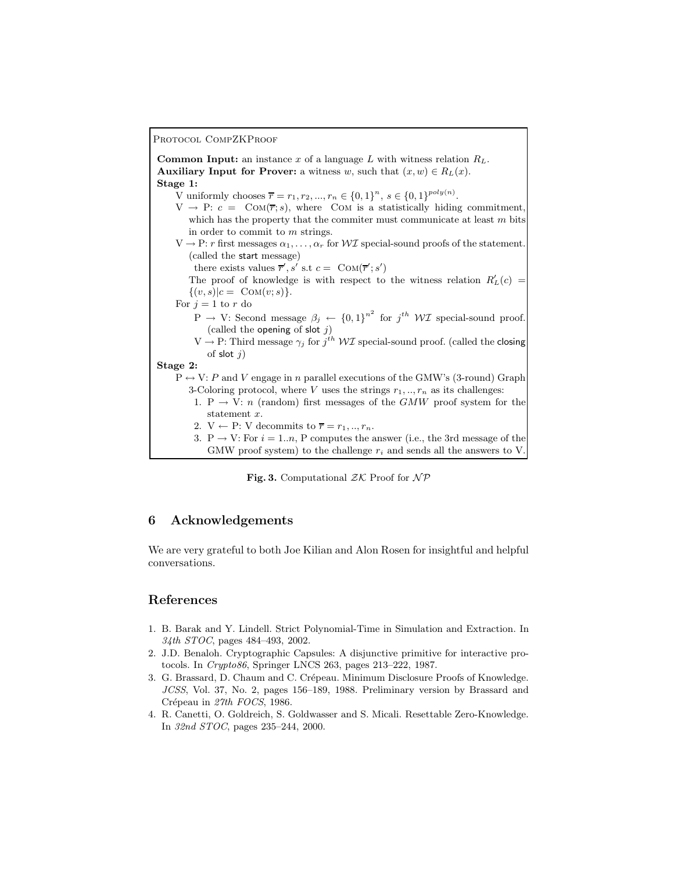#### PROTOCOL COMPZKPROOF

**Common Input:** an instance x of a language L with witness relation  $R_L$ . Auxiliary Input for Prover: a witness w, such that  $(x, w) \in R_L(x)$ . Stage 1: V uniformly chooses  $\overline{r} = r_1, r_2, ..., r_n \in \{0, 1\}^n$ ,  $s \in \{0, 1\}^{poly(n)}$ .  $V \rightarrow P: c = \text{Com}(\overline{r}; s)$ , where COM is a statistically hiding commitment which has the property that the commiter must communicate at least  $m$  bits in order to commit to m strings.  $V \to P$ : r first messages  $\alpha_1, \ldots, \alpha_r$  for WI special-sound proofs of the statement. (called the start message) there exists values  $\overline{r}', s'$  s.t  $c = \text{Com}(\overline{r}'; s')$ The proof of knowledge is with respect to the witness relation  $R'_L(c)$  =  $\{(v, s)|c = \text{COM}(v; s)\}.$ For  $j = 1$  to r do  $P \rightarrow V$ : Second message  $\beta_j \leftarrow \{0,1\}^{n^2}$  for  $j^{th} \ W\mathcal{I}$  special-sound proof. (called the opening of slot  $j$ )  $V \to P$ : Third message  $\gamma_j$  for  $j^{th} W\mathcal{I}$  special-sound proof. (called the closing of slot  $i$ ) Stage 2:  $P \leftrightarrow V: P$  and V engage in n parallel executions of the GMW's (3-round) Graph 3-Coloring protocol, where V uses the strings  $r_1, ..., r_n$  as its challenges: 1. P  $\rightarrow$  V: n (random) first messages of the GMW proof system for the statement x. 2.  $V \leftarrow P: V$  decommits to  $\overline{r} = r_1, ..., r_n$ . 3. P  $\rightarrow$  V: For  $i = 1..n$ , P computes the answer (i.e., the 3rd message of the GMW proof system) to the challenge  $r_i$  and sends all the answers to V.

Fig. 3. Computational  $ZK$  Proof for  $\mathcal{NP}$ 

# 6 Acknowledgements

We are very grateful to both Joe Kilian and Alon Rosen for insightful and helpful conversations.

# References

- 1. B. Barak and Y. Lindell. Strict Polynomial-Time in Simulation and Extraction. In 34th STOC, pages 484–493, 2002.
- 2. J.D. Benaloh. Cryptographic Capsules: A disjunctive primitive for interactive protocols. In Crypto86, Springer LNCS 263, pages 213–222, 1987.
- 3. G. Brassard, D. Chaum and C. Crépeau. Minimum Disclosure Proofs of Knowledge. JCSS, Vol. 37, No. 2, pages 156–189, 1988. Preliminary version by Brassard and Crépeau in 27th FOCS, 1986.
- 4. R. Canetti, O. Goldreich, S. Goldwasser and S. Micali. Resettable Zero-Knowledge. In 32nd STOC, pages 235–244, 2000.